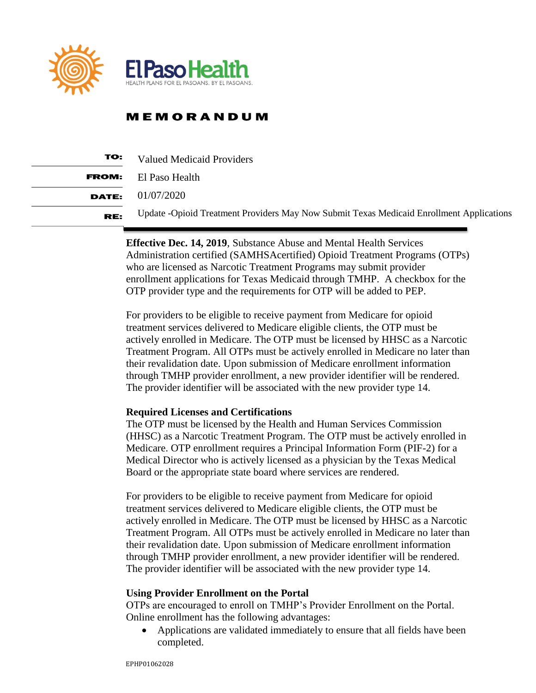

## **MEMORANDUM**

| TO:   | <b>Valued Medicaid Providers</b>                                                         |
|-------|------------------------------------------------------------------------------------------|
| FROM: | El Paso Health                                                                           |
|       | <b>DATE:</b> $01/07/2020$                                                                |
| RE:   | Update -Opioid Treatment Providers May Now Submit Texas Medicaid Enrollment Applications |

**Effective Dec. 14, 2019**, Substance Abuse and Mental Health Services Administration certified (SAMHSAcertified) Opioid Treatment Programs (OTPs) who are licensed as Narcotic Treatment Programs may submit provider enrollment applications for Texas Medicaid through TMHP. A checkbox for the OTP provider type and the requirements for OTP will be added to PEP.

For providers to be eligible to receive payment from Medicare for opioid treatment services delivered to Medicare eligible clients, the OTP must be actively enrolled in Medicare. The OTP must be licensed by HHSC as a Narcotic Treatment Program. All OTPs must be actively enrolled in Medicare no later than their revalidation date. Upon submission of Medicare enrollment information through TMHP provider enrollment, a new provider identifier will be rendered. The provider identifier will be associated with the new provider type 14.

### **Required Licenses and Certifications**

The OTP must be licensed by the Health and Human Services Commission (HHSC) as a Narcotic Treatment Program. The OTP must be actively enrolled in Medicare. OTP enrollment requires a Principal Information Form (PIF-2) for a Medical Director who is actively licensed as a physician by the Texas Medical Board or the appropriate state board where services are rendered.

For providers to be eligible to receive payment from Medicare for opioid treatment services delivered to Medicare eligible clients, the OTP must be actively enrolled in Medicare. The OTP must be licensed by HHSC as a Narcotic Treatment Program. All OTPs must be actively enrolled in Medicare no later than their revalidation date. Upon submission of Medicare enrollment information through TMHP provider enrollment, a new provider identifier will be rendered. The provider identifier will be associated with the new provider type 14.

### **Using Provider Enrollment on the Portal**

OTPs are encouraged to enroll on TMHP's Provider Enrollment on the Portal. Online enrollment has the following advantages:

 Applications are validated immediately to ensure that all fields have been completed.